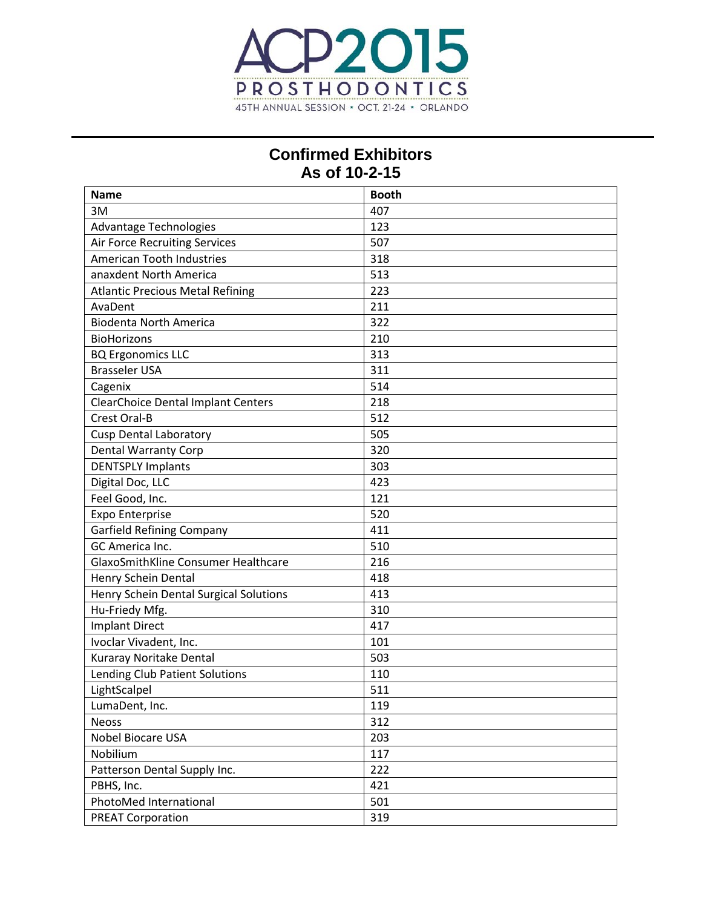

## **Confirmed Exhibitors As of 10-2-15**

| <b>Name</b>                               | <b>Booth</b> |
|-------------------------------------------|--------------|
| 3M                                        | 407          |
| <b>Advantage Technologies</b>             | 123          |
| Air Force Recruiting Services             | 507          |
| <b>American Tooth Industries</b>          | 318          |
| anaxdent North America                    | 513          |
| <b>Atlantic Precious Metal Refining</b>   | 223          |
| AvaDent                                   | 211          |
| <b>Biodenta North America</b>             | 322          |
| <b>BioHorizons</b>                        | 210          |
| <b>BQ Ergonomics LLC</b>                  | 313          |
| <b>Brasseler USA</b>                      | 311          |
| Cagenix                                   | 514          |
| <b>ClearChoice Dental Implant Centers</b> | 218          |
| <b>Crest Oral-B</b>                       | 512          |
| <b>Cusp Dental Laboratory</b>             | 505          |
| <b>Dental Warranty Corp</b>               | 320          |
| <b>DENTSPLY Implants</b>                  | 303          |
| Digital Doc, LLC                          | 423          |
| Feel Good, Inc.                           | 121          |
| <b>Expo Enterprise</b>                    | 520          |
| <b>Garfield Refining Company</b>          | 411          |
| GC America Inc.                           | 510          |
| GlaxoSmithKline Consumer Healthcare       | 216          |
| Henry Schein Dental                       | 418          |
| Henry Schein Dental Surgical Solutions    | 413          |
| Hu-Friedy Mfg.                            | 310          |
| <b>Implant Direct</b>                     | 417          |
| Ivoclar Vivadent, Inc.                    | 101          |
| Kuraray Noritake Dental                   | 503          |
| Lending Club Patient Solutions            | 110          |
| LightScalpel                              | 511          |
| LumaDent, Inc.                            | 119          |
| <b>Neoss</b>                              | 312          |
| Nobel Biocare USA                         | 203          |
| Nobilium                                  | 117          |
| Patterson Dental Supply Inc.              | 222          |
| PBHS, Inc.                                | 421          |
| PhotoMed International                    | 501          |
| <b>PREAT Corporation</b>                  | 319          |